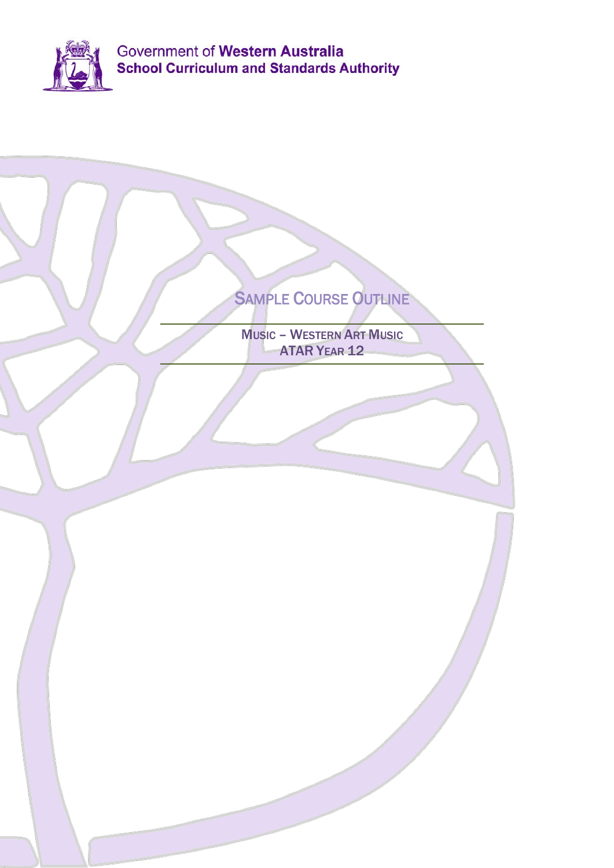

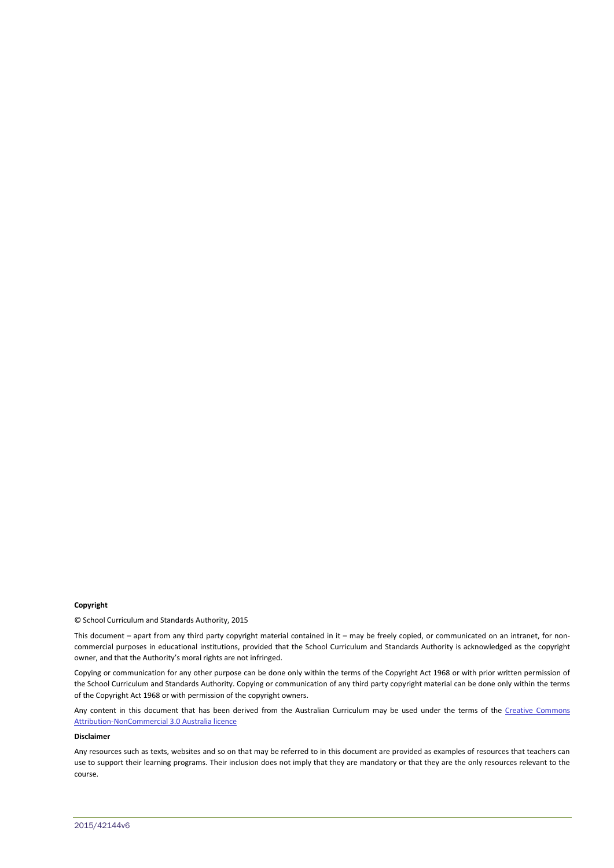#### **Copyright**

© School Curriculum and Standards Authority, 2015

This document – apart from any third party copyright material contained in it – may be freely copied, or communicated on an intranet, for noncommercial purposes in educational institutions, provided that the School Curriculum and Standards Authority is acknowledged as the copyright owner, and that the Authority's moral rights are not infringed.

Copying or communication for any other purpose can be done only within the terms of the Copyright Act 1968 or with prior written permission of the School Curriculum and Standards Authority. Copying or communication of any third party copyright material can be done only within the terms of the Copyright Act 1968 or with permission of the copyright owners.

Any content in this document that has been derived from the Australian Curriculum may be used under the terms of the Creative Commons [Attribution-NonCommercial 3.0 Australia licence](http://creativecommons.org/licenses/by-nc/3.0/au/)

#### **Disclaimer**

Any resources such as texts, websites and so on that may be referred to in this document are provided as examples of resources that teachers can use to support their learning programs. Their inclusion does not imply that they are mandatory or that they are the only resources relevant to the course.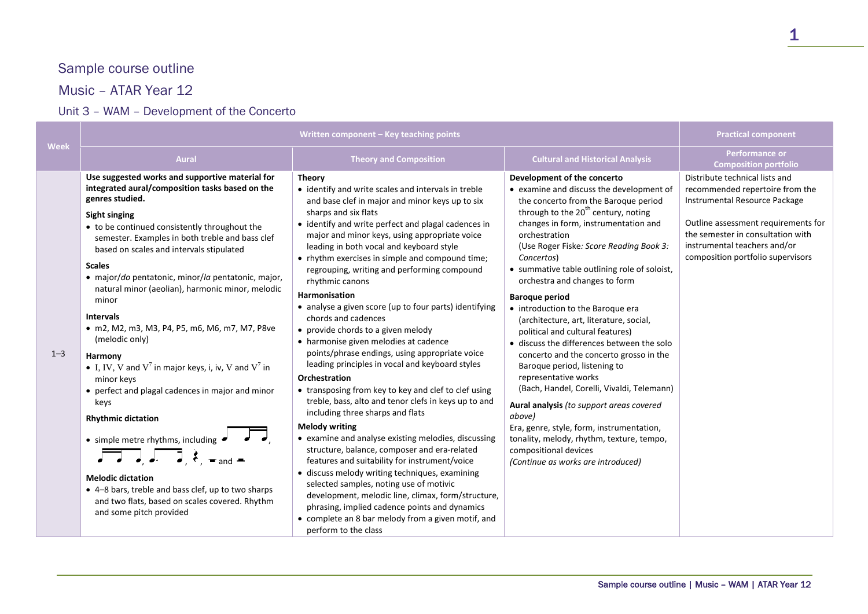# Sample course outline

## Music – ATAR Year 12

## Unit 3 – WAM – Development of the Concerto

| Week    |                                                                                                                                                                                                                                                                                                                                                                                                                                                                                                                                                                                                                                                                                                                                                                                                                                                                                                                                    | Written component - Key teaching points                                                                                                                                                                                                                                                                                                                                                                                                                                                                                                                                                                                                                                                                                                                                                                                                                                                                                                                                                                                                                                                                                                                                                                                                                                                                                                                       |                                                                                                                                                                                                                                                                                                                                                                                                                                                                                                                                                                                                                                                                                                                                                                                                                                                                                                                                  | <b>Practical component</b>                                                                                                                                                                                                                          |
|---------|------------------------------------------------------------------------------------------------------------------------------------------------------------------------------------------------------------------------------------------------------------------------------------------------------------------------------------------------------------------------------------------------------------------------------------------------------------------------------------------------------------------------------------------------------------------------------------------------------------------------------------------------------------------------------------------------------------------------------------------------------------------------------------------------------------------------------------------------------------------------------------------------------------------------------------|---------------------------------------------------------------------------------------------------------------------------------------------------------------------------------------------------------------------------------------------------------------------------------------------------------------------------------------------------------------------------------------------------------------------------------------------------------------------------------------------------------------------------------------------------------------------------------------------------------------------------------------------------------------------------------------------------------------------------------------------------------------------------------------------------------------------------------------------------------------------------------------------------------------------------------------------------------------------------------------------------------------------------------------------------------------------------------------------------------------------------------------------------------------------------------------------------------------------------------------------------------------------------------------------------------------------------------------------------------------|----------------------------------------------------------------------------------------------------------------------------------------------------------------------------------------------------------------------------------------------------------------------------------------------------------------------------------------------------------------------------------------------------------------------------------------------------------------------------------------------------------------------------------------------------------------------------------------------------------------------------------------------------------------------------------------------------------------------------------------------------------------------------------------------------------------------------------------------------------------------------------------------------------------------------------|-----------------------------------------------------------------------------------------------------------------------------------------------------------------------------------------------------------------------------------------------------|
|         | <b>Aural</b>                                                                                                                                                                                                                                                                                                                                                                                                                                                                                                                                                                                                                                                                                                                                                                                                                                                                                                                       | <b>Theory and Composition</b>                                                                                                                                                                                                                                                                                                                                                                                                                                                                                                                                                                                                                                                                                                                                                                                                                                                                                                                                                                                                                                                                                                                                                                                                                                                                                                                                 | <b>Cultural and Historical Analysis</b>                                                                                                                                                                                                                                                                                                                                                                                                                                                                                                                                                                                                                                                                                                                                                                                                                                                                                          | <b>Performance or</b><br><b>Composition portfolio</b>                                                                                                                                                                                               |
| $1 - 3$ | Use suggested works and supportive material for<br>integrated aural/composition tasks based on the<br>genres studied.<br><b>Sight singing</b><br>• to be continued consistently throughout the<br>semester. Examples in both treble and bass clef<br>based on scales and intervals stipulated<br><b>Scales</b><br>· major/do pentatonic, minor/la pentatonic, major,<br>natural minor (aeolian), harmonic minor, melodic<br>minor<br><b>Intervals</b><br>• m2, M2, m3, M3, P4, P5, m6, M6, m7, M7, P8ve<br>(melodic only)<br>Harmony<br>• I, IV, V and $V^7$ in major keys, i, iv, V and $V^7$ in<br>minor keys<br>• perfect and plagal cadences in major and minor<br>keys<br><b>Rhythmic dictation</b><br>• simple metre rhythms, including $\bullet$ $\bullet$ ,<br><b>Melodic dictation</b><br>• 4-8 bars, treble and bass clef, up to two sharps<br>and two flats, based on scales covered. Rhythm<br>and some pitch provided | <b>Theory</b><br>• identify and write scales and intervals in treble<br>and base clef in major and minor keys up to six<br>sharps and six flats<br>• identify and write perfect and plagal cadences in<br>major and minor keys, using appropriate voice<br>leading in both vocal and keyboard style<br>• rhythm exercises in simple and compound time;<br>regrouping, writing and performing compound<br>rhythmic canons<br>Harmonisation<br>• analyse a given score (up to four parts) identifying<br>chords and cadences<br>• provide chords to a given melody<br>• harmonise given melodies at cadence<br>points/phrase endings, using appropriate voice<br>leading principles in vocal and keyboard styles<br><b>Orchestration</b><br>• transposing from key to key and clef to clef using<br>treble, bass, alto and tenor clefs in keys up to and<br>including three sharps and flats<br><b>Melody writing</b><br>• examine and analyse existing melodies, discussing<br>structure, balance, composer and era-related<br>features and suitability for instrument/voice<br>· discuss melody writing techniques, examining<br>selected samples, noting use of motivic<br>development, melodic line, climax, form/structure,<br>phrasing, implied cadence points and dynamics<br>• complete an 8 bar melody from a given motif, and<br>perform to the class | Development of the concerto<br>• examine and discuss the development of<br>the concerto from the Baroque period<br>through to the 20 <sup>th</sup> century, noting<br>changes in form, instrumentation and<br>orchestration<br>(Use Roger Fiske: Score Reading Book 3:<br>Concertos)<br>• summative table outlining role of soloist,<br>orchestra and changes to form<br><b>Baroque period</b><br>• introduction to the Baroque era<br>(architecture, art, literature, social,<br>political and cultural features)<br>• discuss the differences between the solo<br>concerto and the concerto grosso in the<br>Baroque period, listening to<br>representative works<br>(Bach, Handel, Corelli, Vivaldi, Telemann)<br>Aural analysis (to support areas covered<br>above)<br>Era, genre, style, form, instrumentation,<br>tonality, melody, rhythm, texture, tempo,<br>compositional devices<br>(Continue as works are introduced) | Distribute technical lists and<br>recommended repertoire from the<br>Instrumental Resource Package<br>Outline assessment requirements for<br>the semester in consultation with<br>instrumental teachers and/or<br>composition portfolio supervisors |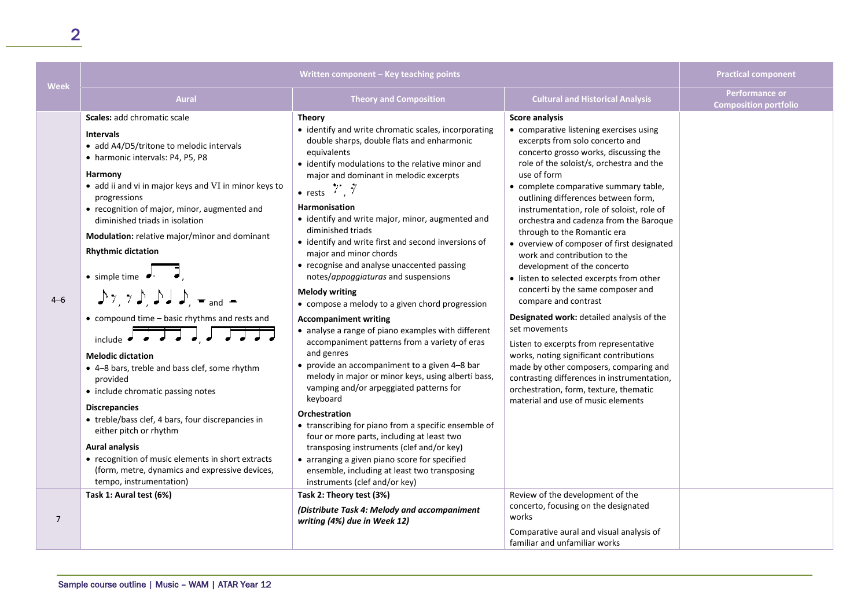| <b>Week</b> | Written component - Key teaching points                                                                                                                                                                                                                                                                                                                                                                                                                                                                                                                                                                                                                                                                                                                                                                                                                                                                                                                                            |                                                                                                                                                                                                                                                                                                                                                                                                                                                                                                                                                                                                                                                                                                                                                                                                                                                                                                                                                                                                                                                                                                                                                                                                                        |                                                                                                                                                                                                                                                                                                                                                                                                                                                                                                                                                                                                                                                                                                                                                                                                                                                                                                                                                                 | <b>Practical component</b>                     |
|-------------|------------------------------------------------------------------------------------------------------------------------------------------------------------------------------------------------------------------------------------------------------------------------------------------------------------------------------------------------------------------------------------------------------------------------------------------------------------------------------------------------------------------------------------------------------------------------------------------------------------------------------------------------------------------------------------------------------------------------------------------------------------------------------------------------------------------------------------------------------------------------------------------------------------------------------------------------------------------------------------|------------------------------------------------------------------------------------------------------------------------------------------------------------------------------------------------------------------------------------------------------------------------------------------------------------------------------------------------------------------------------------------------------------------------------------------------------------------------------------------------------------------------------------------------------------------------------------------------------------------------------------------------------------------------------------------------------------------------------------------------------------------------------------------------------------------------------------------------------------------------------------------------------------------------------------------------------------------------------------------------------------------------------------------------------------------------------------------------------------------------------------------------------------------------------------------------------------------------|-----------------------------------------------------------------------------------------------------------------------------------------------------------------------------------------------------------------------------------------------------------------------------------------------------------------------------------------------------------------------------------------------------------------------------------------------------------------------------------------------------------------------------------------------------------------------------------------------------------------------------------------------------------------------------------------------------------------------------------------------------------------------------------------------------------------------------------------------------------------------------------------------------------------------------------------------------------------|------------------------------------------------|
|             | <b>Aural</b>                                                                                                                                                                                                                                                                                                                                                                                                                                                                                                                                                                                                                                                                                                                                                                                                                                                                                                                                                                       | <b>Theory and Composition</b>                                                                                                                                                                                                                                                                                                                                                                                                                                                                                                                                                                                                                                                                                                                                                                                                                                                                                                                                                                                                                                                                                                                                                                                          | <b>Cultural and Historical Analysis</b>                                                                                                                                                                                                                                                                                                                                                                                                                                                                                                                                                                                                                                                                                                                                                                                                                                                                                                                         | Performance or<br><b>Composition portfolio</b> |
| $4 - 6$     | Scales: add chromatic scale<br><b>Intervals</b><br>• add A4/D5/tritone to melodic intervals<br>• harmonic intervals: P4, P5, P8<br>Harmony<br>• add ii and vi in major keys and VI in minor keys to<br>progressions<br>• recognition of major, minor, augmented and<br>diminished triads in isolation<br>Modulation: relative major/minor and dominant<br><b>Rhythmic dictation</b><br>$\bullet$ simple time $\bullet$<br>$\int \gamma$ , $\gamma$ , $\int$ , $\int$ , $\int$ , $\int$ , $\gamma$ , and $\gamma$<br>• compound time - basic rhythms and rests and<br>include $\sqrt{3}$ $\sqrt{3}$ $\sqrt{3}$<br><b>Melodic dictation</b><br>• 4-8 bars, treble and bass clef, some rhythm<br>provided<br>• include chromatic passing notes<br><b>Discrepancies</b><br>• treble/bass clef, 4 bars, four discrepancies in<br>either pitch or rhythm<br><b>Aural analysis</b><br>• recognition of music elements in short extracts<br>(form, metre, dynamics and expressive devices, | <b>Theory</b><br>• identify and write chromatic scales, incorporating<br>double sharps, double flats and enharmonic<br>equivalents<br>• identify modulations to the relative minor and<br>major and dominant in melodic excerpts<br>• rests $\overline{7}$ , $\overline{7}$<br><b>Harmonisation</b><br>• identify and write major, minor, augmented and<br>diminished triads<br>• identify and write first and second inversions of<br>major and minor chords<br>• recognise and analyse unaccented passing<br>notes/appoggiaturas and suspensions<br><b>Melody writing</b><br>• compose a melody to a given chord progression<br><b>Accompaniment writing</b><br>• analyse a range of piano examples with different<br>accompaniment patterns from a variety of eras<br>and genres<br>• provide an accompaniment to a given 4-8 bar<br>melody in major or minor keys, using alberti bass,<br>vamping and/or arpeggiated patterns for<br>keyboard<br>Orchestration<br>• transcribing for piano from a specific ensemble of<br>four or more parts, including at least two<br>transposing instruments (clef and/or key)<br>• arranging a given piano score for specified<br>ensemble, including at least two transposing | <b>Score analysis</b><br>• comparative listening exercises using<br>excerpts from solo concerto and<br>concerto grosso works, discussing the<br>role of the soloist/s, orchestra and the<br>use of form<br>• complete comparative summary table,<br>outlining differences between form,<br>instrumentation, role of soloist, role of<br>orchestra and cadenza from the Baroque<br>through to the Romantic era<br>• overview of composer of first designated<br>work and contribution to the<br>development of the concerto<br>• listen to selected excerpts from other<br>concerti by the same composer and<br>compare and contrast<br>Designated work: detailed analysis of the<br>set movements<br>Listen to excerpts from representative<br>works, noting significant contributions<br>made by other composers, comparing and<br>contrasting differences in instrumentation,<br>orchestration, form, texture, thematic<br>material and use of music elements |                                                |
| 7           | tempo, instrumentation)<br>Task 1: Aural test (6%)                                                                                                                                                                                                                                                                                                                                                                                                                                                                                                                                                                                                                                                                                                                                                                                                                                                                                                                                 | instruments (clef and/or key)<br>Task 2: Theory test (3%)<br>(Distribute Task 4: Melody and accompaniment<br>writing (4%) due in Week 12)                                                                                                                                                                                                                                                                                                                                                                                                                                                                                                                                                                                                                                                                                                                                                                                                                                                                                                                                                                                                                                                                              | Review of the development of the<br>concerto, focusing on the designated<br>works                                                                                                                                                                                                                                                                                                                                                                                                                                                                                                                                                                                                                                                                                                                                                                                                                                                                               |                                                |
|             |                                                                                                                                                                                                                                                                                                                                                                                                                                                                                                                                                                                                                                                                                                                                                                                                                                                                                                                                                                                    |                                                                                                                                                                                                                                                                                                                                                                                                                                                                                                                                                                                                                                                                                                                                                                                                                                                                                                                                                                                                                                                                                                                                                                                                                        | Comparative aural and visual analysis of<br>familiar and unfamiliar works                                                                                                                                                                                                                                                                                                                                                                                                                                                                                                                                                                                                                                                                                                                                                                                                                                                                                       |                                                |

2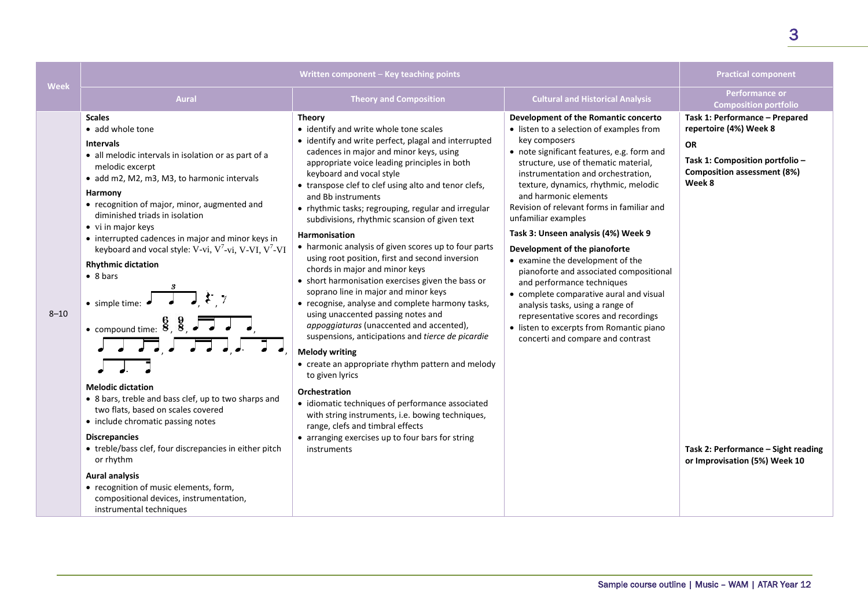| Written component – Key teaching points                                                                                                                                                                                                                                                                                                                                                                                                                                                                                                                                                                                                                                                                                                                                   |                                                                                                                                                                                                                                                                                                                                                                                                                                                                                                                                                                                                                                                                                                                                                                                                                                                                                                                                                                                                                                                                                                                     |                                                                                                                                                                                                                                                                                                                                                                                                                                                                                                                                                                                                                                                                                                                                                                  | <b>Practical component</b>                                                                                                                        |
|---------------------------------------------------------------------------------------------------------------------------------------------------------------------------------------------------------------------------------------------------------------------------------------------------------------------------------------------------------------------------------------------------------------------------------------------------------------------------------------------------------------------------------------------------------------------------------------------------------------------------------------------------------------------------------------------------------------------------------------------------------------------------|---------------------------------------------------------------------------------------------------------------------------------------------------------------------------------------------------------------------------------------------------------------------------------------------------------------------------------------------------------------------------------------------------------------------------------------------------------------------------------------------------------------------------------------------------------------------------------------------------------------------------------------------------------------------------------------------------------------------------------------------------------------------------------------------------------------------------------------------------------------------------------------------------------------------------------------------------------------------------------------------------------------------------------------------------------------------------------------------------------------------|------------------------------------------------------------------------------------------------------------------------------------------------------------------------------------------------------------------------------------------------------------------------------------------------------------------------------------------------------------------------------------------------------------------------------------------------------------------------------------------------------------------------------------------------------------------------------------------------------------------------------------------------------------------------------------------------------------------------------------------------------------------|---------------------------------------------------------------------------------------------------------------------------------------------------|
| <b>Aural</b>                                                                                                                                                                                                                                                                                                                                                                                                                                                                                                                                                                                                                                                                                                                                                              | <b>Theory and Composition</b>                                                                                                                                                                                                                                                                                                                                                                                                                                                                                                                                                                                                                                                                                                                                                                                                                                                                                                                                                                                                                                                                                       | <b>Cultural and Historical Analysis</b>                                                                                                                                                                                                                                                                                                                                                                                                                                                                                                                                                                                                                                                                                                                          | <b>Performance or</b><br><b>Composition portfolio</b>                                                                                             |
| <b>Scales</b><br>• add whole tone<br><b>Intervals</b><br>• all melodic intervals in isolation or as part of a<br>melodic excerpt<br>• add m2, M2, m3, M3, to harmonic intervals<br>Harmony<br>• recognition of major, minor, augmented and<br>diminished triads in isolation<br>• vi in major keys<br>• interrupted cadences in major and minor keys in<br>keyboard and vocal style: V-vi, $V^7$ -vi, V-VI, $V^7$ -VI<br><b>Rhythmic dictation</b><br>$\bullet$ 8 bars<br>$\bullet$ simple time: $\bullet$<br>• compound time: $\frac{6}{5}$ , $\frac{9}{5}$ , $\overline{\phantom{0}}$<br>$\sqrt{2\sqrt{2}}$ , $\sqrt{2\sqrt{2}}$ , $\sqrt{2}$<br><b>Melodic dictation</b><br>• 8 bars, treble and bass clef, up to two sharps and<br>two flats, based on scales covered | <b>Theory</b><br>• identify and write whole tone scales<br>• identify and write perfect, plagal and interrupted<br>cadences in major and minor keys, using<br>appropriate voice leading principles in both<br>keyboard and vocal style<br>• transpose clef to clef using alto and tenor clefs,<br>and Bb instruments<br>• rhythmic tasks; regrouping, regular and irregular<br>subdivisions, rhythmic scansion of given text<br><b>Harmonisation</b><br>• harmonic analysis of given scores up to four parts<br>using root position, first and second inversion<br>chords in major and minor keys<br>• short harmonisation exercises given the bass or<br>soprano line in major and minor keys<br>• recognise, analyse and complete harmony tasks,<br>using unaccented passing notes and<br>appoggiaturas (unaccented and accented),<br>suspensions, anticipations and tierce de picardie<br><b>Melody writing</b><br>• create an appropriate rhythm pattern and melody<br>to given lyrics<br>Orchestration<br>• idiomatic techniques of performance associated<br>with string instruments, i.e. bowing techniques, | Development of the Romantic concerto<br>• listen to a selection of examples from<br>key composers<br>• note significant features, e.g. form and<br>structure, use of thematic material,<br>instrumentation and orchestration,<br>texture, dynamics, rhythmic, melodic<br>and harmonic elements<br>Revision of relevant forms in familiar and<br>unfamiliar examples<br>Task 3: Unseen analysis (4%) Week 9<br>Development of the pianoforte<br>• examine the development of the<br>pianoforte and associated compositional<br>and performance techniques<br>• complete comparative aural and visual<br>analysis tasks, using a range of<br>representative scores and recordings<br>• listen to excerpts from Romantic piano<br>concerti and compare and contrast | Task 1: Performance - Prepared<br>repertoire (4%) Week 8<br><b>OR</b><br>Task 1: Composition portfolio -<br>Composition assessment (8%)<br>Week 8 |

range, clefs and timbral effects

instruments

• arranging exercises up to four bars for string

two flats, based on scales covered • include chromatic passing notes

### **Discrepancies**

**Week**

8–10

• treble/bass clef, four discrepancies in either pitch or rhythm

### **Aural analysis**

• recognition of music elements, form, compositional devices, instrumentation, instrumental techniques

3

**Task 2: Performance – Sight reading or Improvisation (5%) Week 10**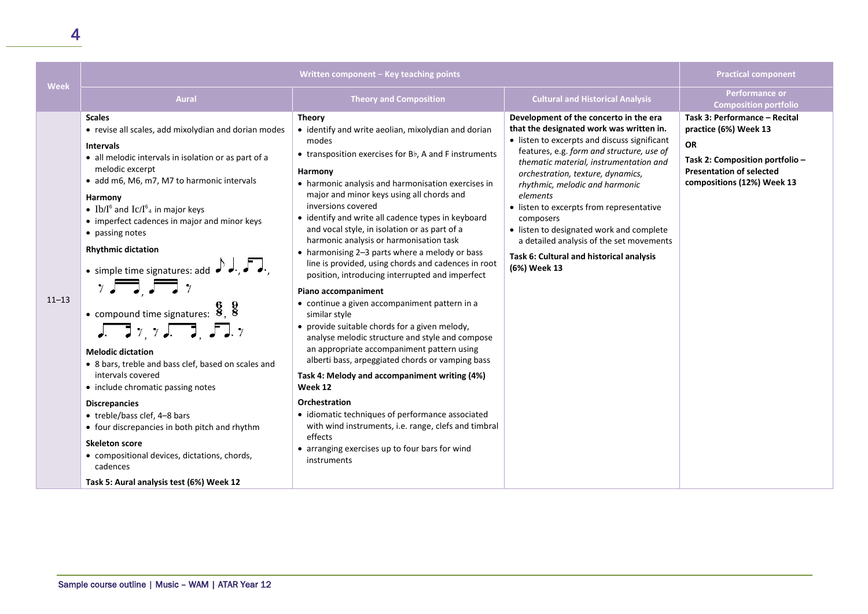| Week      | Written component - Key teaching points                                                                                                                                                                                                                                                                                                                                                                                                                                                                                                                                                                                                                                                                                                                                                                                                                                                                                                                                                                                 |                                                                                                                                                                                                                                                                                                                                                                                                                                                                                                                                                                                                                                                                                                                                                                                                                                                                                                                                                                                                                                                                                                                                                              |                                                                                                                                                                                                                                                                                                                                                                                                                                                                                                                           | <b>Practical component</b>                                                                                                                                              |
|-----------|-------------------------------------------------------------------------------------------------------------------------------------------------------------------------------------------------------------------------------------------------------------------------------------------------------------------------------------------------------------------------------------------------------------------------------------------------------------------------------------------------------------------------------------------------------------------------------------------------------------------------------------------------------------------------------------------------------------------------------------------------------------------------------------------------------------------------------------------------------------------------------------------------------------------------------------------------------------------------------------------------------------------------|--------------------------------------------------------------------------------------------------------------------------------------------------------------------------------------------------------------------------------------------------------------------------------------------------------------------------------------------------------------------------------------------------------------------------------------------------------------------------------------------------------------------------------------------------------------------------------------------------------------------------------------------------------------------------------------------------------------------------------------------------------------------------------------------------------------------------------------------------------------------------------------------------------------------------------------------------------------------------------------------------------------------------------------------------------------------------------------------------------------------------------------------------------------|---------------------------------------------------------------------------------------------------------------------------------------------------------------------------------------------------------------------------------------------------------------------------------------------------------------------------------------------------------------------------------------------------------------------------------------------------------------------------------------------------------------------------|-------------------------------------------------------------------------------------------------------------------------------------------------------------------------|
|           | <b>Aural</b>                                                                                                                                                                                                                                                                                                                                                                                                                                                                                                                                                                                                                                                                                                                                                                                                                                                                                                                                                                                                            | <b>Theory and Composition</b>                                                                                                                                                                                                                                                                                                                                                                                                                                                                                                                                                                                                                                                                                                                                                                                                                                                                                                                                                                                                                                                                                                                                | <b>Cultural and Historical Analysis</b>                                                                                                                                                                                                                                                                                                                                                                                                                                                                                   | Performance or<br><b>Composition portfolio</b>                                                                                                                          |
| $11 - 13$ | <b>Scales</b><br>• revise all scales, add mixolydian and dorian modes<br><b>Intervals</b><br>• all melodic intervals in isolation or as part of a<br>melodic excerpt<br>· add m6, M6, m7, M7 to harmonic intervals<br>Harmony<br>• Ib/I <sup>6</sup> and Ic/I <sup>6</sup> <sub>4</sub> in major keys<br>• imperfect cadences in major and minor keys<br>• passing notes<br><b>Rhythmic dictation</b><br>• simple time signatures: add $\int d\cdot d\cdot d\cdot$<br>$\gamma$ , $\sqrt{2}$ , $\gamma$<br>• compound time signatures: $\frac{6}{8}$ , $\frac{9}{8}$<br>$\sqrt{177}$ , $\sqrt{177}$ , $\sqrt{177}$ , $\sqrt{177}$<br><b>Melodic dictation</b><br>• 8 bars, treble and bass clef, based on scales and<br>intervals covered<br>• include chromatic passing notes<br><b>Discrepancies</b><br>• treble/bass clef, 4-8 bars<br>• four discrepancies in both pitch and rhythm<br><b>Skeleton score</b><br>• compositional devices, dictations, chords,<br>cadences<br>Task 5: Aural analysis test (6%) Week 12 | <b>Theory</b><br>• identify and write aeolian, mixolydian and dorian<br>modes<br>• transposition exercises for Bb, A and F instruments<br>Harmony<br>• harmonic analysis and harmonisation exercises in<br>major and minor keys using all chords and<br>inversions covered<br>• identify and write all cadence types in keyboard<br>and vocal style, in isolation or as part of a<br>harmonic analysis or harmonisation task<br>• harmonising 2-3 parts where a melody or bass<br>line is provided, using chords and cadences in root<br>position, introducing interrupted and imperfect<br>Piano accompaniment<br>• continue a given accompaniment pattern in a<br>similar style<br>• provide suitable chords for a given melody,<br>analyse melodic structure and style and compose<br>an appropriate accompaniment pattern using<br>alberti bass, arpeggiated chords or vamping bass<br>Task 4: Melody and accompaniment writing (4%)<br>Week 12<br>Orchestration<br>• idiomatic techniques of performance associated<br>with wind instruments, i.e. range, clefs and timbral<br>effects<br>• arranging exercises up to four bars for wind<br>instruments | Development of the concerto in the era<br>that the designated work was written in.<br>• listen to excerpts and discuss significant<br>features, e.g. form and structure, use of<br>thematic material, instrumentation and<br>orchestration, texture, dynamics,<br>rhythmic, melodic and harmonic<br>elements<br>• listen to excerpts from representative<br>composers<br>• listen to designated work and complete<br>a detailed analysis of the set movements<br>Task 6: Cultural and historical analysis<br>(6%) Week 13 | Task 3: Performance - Recital<br>practice (6%) Week 13<br><b>OR</b><br>Task 2: Composition portfolio -<br><b>Presentation of selected</b><br>compositions (12%) Week 13 |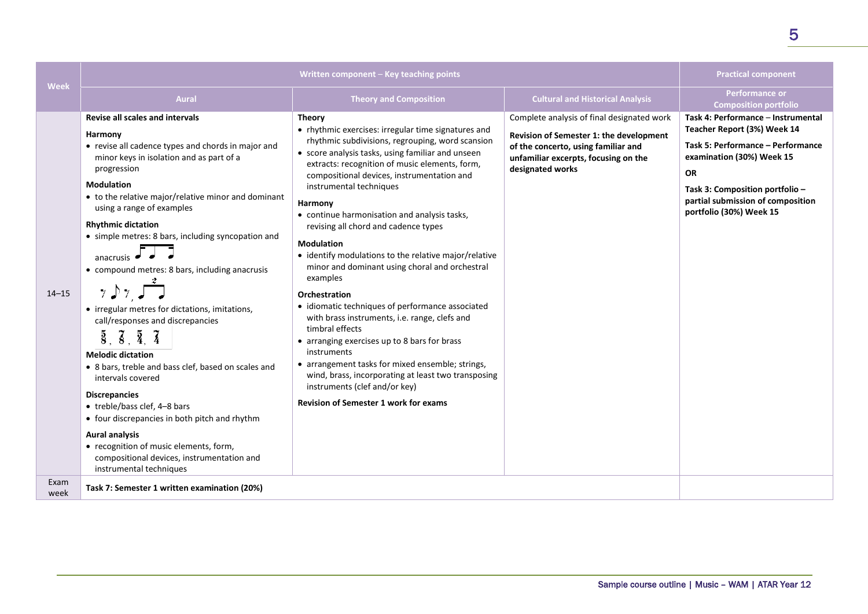| Week         |                                                                                                                                                                                                                                                                                                                                                                                                                                                                                                                                                                                                                                                                                                                                                                                                                                                                                                                                                       | Written component - Key teaching points                                                                                                                                                                                                                                                                                                                                                                                                                                                                                                                                                                                                                                                                                                                                                                                                                                                                                                                     |                                                                                                                                                                                          | <b>Practical component</b>                                                                                                                                                                                                                          |
|--------------|-------------------------------------------------------------------------------------------------------------------------------------------------------------------------------------------------------------------------------------------------------------------------------------------------------------------------------------------------------------------------------------------------------------------------------------------------------------------------------------------------------------------------------------------------------------------------------------------------------------------------------------------------------------------------------------------------------------------------------------------------------------------------------------------------------------------------------------------------------------------------------------------------------------------------------------------------------|-------------------------------------------------------------------------------------------------------------------------------------------------------------------------------------------------------------------------------------------------------------------------------------------------------------------------------------------------------------------------------------------------------------------------------------------------------------------------------------------------------------------------------------------------------------------------------------------------------------------------------------------------------------------------------------------------------------------------------------------------------------------------------------------------------------------------------------------------------------------------------------------------------------------------------------------------------------|------------------------------------------------------------------------------------------------------------------------------------------------------------------------------------------|-----------------------------------------------------------------------------------------------------------------------------------------------------------------------------------------------------------------------------------------------------|
|              | <b>Aural</b>                                                                                                                                                                                                                                                                                                                                                                                                                                                                                                                                                                                                                                                                                                                                                                                                                                                                                                                                          | <b>Theory and Composition</b>                                                                                                                                                                                                                                                                                                                                                                                                                                                                                                                                                                                                                                                                                                                                                                                                                                                                                                                               | <b>Cultural and Historical Analysis</b>                                                                                                                                                  | <b>Performance or</b><br><b>Composition portfolio</b>                                                                                                                                                                                               |
| $14 - 15$    | <b>Revise all scales and intervals</b><br>Harmony<br>• revise all cadence types and chords in major and<br>minor keys in isolation and as part of a<br>progression<br><b>Modulation</b><br>• to the relative major/relative minor and dominant<br>using a range of examples<br><b>Rhythmic dictation</b><br>• simple metres: 8 bars, including syncopation and<br>anacrusis<br>• compound metres: 8 bars, including anacrusis<br>• irregular metres for dictations, imitations,<br>call/responses and discrepancies<br>$\overline{8}$ , $\overline{8}$ , $\overline{4}$ , $\overline{4}$<br><b>Melodic dictation</b><br>• 8 bars, treble and bass clef, based on scales and<br>intervals covered<br><b>Discrepancies</b><br>• treble/bass clef, 4-8 bars<br>• four discrepancies in both pitch and rhythm<br><b>Aural analysis</b><br>• recognition of music elements, form,<br>compositional devices, instrumentation and<br>instrumental techniques | <b>Theory</b><br>• rhythmic exercises: irregular time signatures and<br>rhythmic subdivisions, regrouping, word scansion<br>• score analysis tasks, using familiar and unseen<br>extracts: recognition of music elements, form,<br>compositional devices, instrumentation and<br>instrumental techniques<br>Harmony<br>• continue harmonisation and analysis tasks,<br>revising all chord and cadence types<br><b>Modulation</b><br>• identify modulations to the relative major/relative<br>minor and dominant using choral and orchestral<br>examples<br>Orchestration<br>• idiomatic techniques of performance associated<br>with brass instruments, i.e. range, clefs and<br>timbral effects<br>• arranging exercises up to 8 bars for brass<br>instruments<br>• arrangement tasks for mixed ensemble; strings,<br>wind, brass, incorporating at least two transposing<br>instruments (clef and/or key)<br><b>Revision of Semester 1 work for exams</b> | Complete analysis of final designated work<br>Revision of Semester 1: the development<br>of the concerto, using familiar and<br>unfamiliar excerpts, focusing on the<br>designated works | Task 4: Performance - Instrumental<br>Teacher Report (3%) Week 14<br>Task 5: Performance - Performance<br>examination (30%) Week 15<br><b>OR</b><br>Task 3: Composition portfolio -<br>partial submission of composition<br>portfolio (30%) Week 15 |
| Exam<br>week | Task 7: Semester 1 written examination (20%)                                                                                                                                                                                                                                                                                                                                                                                                                                                                                                                                                                                                                                                                                                                                                                                                                                                                                                          |                                                                                                                                                                                                                                                                                                                                                                                                                                                                                                                                                                                                                                                                                                                                                                                                                                                                                                                                                             |                                                                                                                                                                                          |                                                                                                                                                                                                                                                     |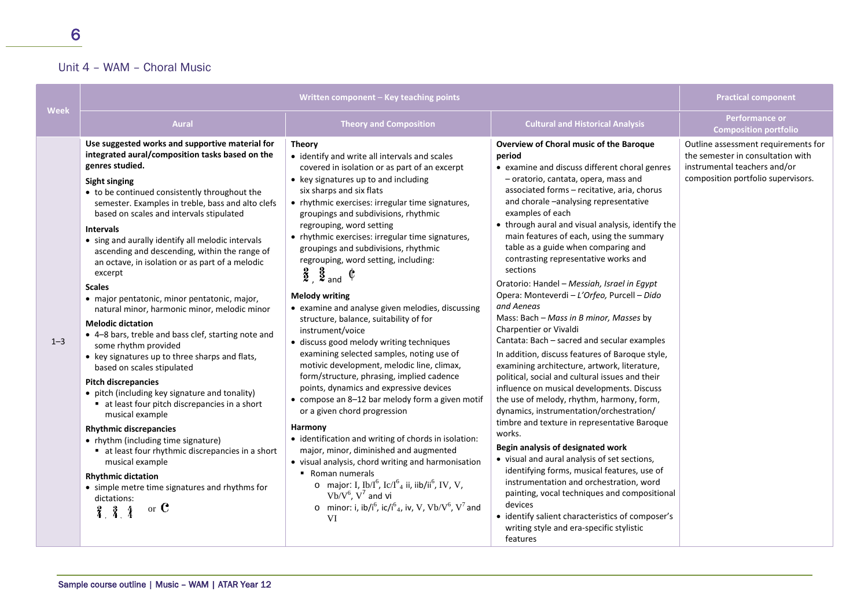### Unit 4 – WAM – Choral Music

| <b>Week</b> |                                                                                                                                                                                                                                                                                                                                                                                                                                                                                                                                                                                                                                                                                                                                                                                                                                                                                                                                                                                                                                                                                                                                                                                                                                     | Written component - Key teaching points                                                                                                                                                                                                                                                                                                                                                                                                                                                                                                                                                                                                                                                                                                                                                                                                                                                                                                                                                                                                                                                                                                                                                                                                                                                                                                                                                                    |                                                                                                                                                                                                                                                                                                                                                                                                                                                                                                                                                                                                                                                                                                                                                                                                                                                                                                                                                                                                                                                                                                                                                                                                                                                                                                                                                                                                 | <b>Practical component</b>                                                                                                                     |
|-------------|-------------------------------------------------------------------------------------------------------------------------------------------------------------------------------------------------------------------------------------------------------------------------------------------------------------------------------------------------------------------------------------------------------------------------------------------------------------------------------------------------------------------------------------------------------------------------------------------------------------------------------------------------------------------------------------------------------------------------------------------------------------------------------------------------------------------------------------------------------------------------------------------------------------------------------------------------------------------------------------------------------------------------------------------------------------------------------------------------------------------------------------------------------------------------------------------------------------------------------------|------------------------------------------------------------------------------------------------------------------------------------------------------------------------------------------------------------------------------------------------------------------------------------------------------------------------------------------------------------------------------------------------------------------------------------------------------------------------------------------------------------------------------------------------------------------------------------------------------------------------------------------------------------------------------------------------------------------------------------------------------------------------------------------------------------------------------------------------------------------------------------------------------------------------------------------------------------------------------------------------------------------------------------------------------------------------------------------------------------------------------------------------------------------------------------------------------------------------------------------------------------------------------------------------------------------------------------------------------------------------------------------------------------|-------------------------------------------------------------------------------------------------------------------------------------------------------------------------------------------------------------------------------------------------------------------------------------------------------------------------------------------------------------------------------------------------------------------------------------------------------------------------------------------------------------------------------------------------------------------------------------------------------------------------------------------------------------------------------------------------------------------------------------------------------------------------------------------------------------------------------------------------------------------------------------------------------------------------------------------------------------------------------------------------------------------------------------------------------------------------------------------------------------------------------------------------------------------------------------------------------------------------------------------------------------------------------------------------------------------------------------------------------------------------------------------------|------------------------------------------------------------------------------------------------------------------------------------------------|
|             | <b>Aural</b>                                                                                                                                                                                                                                                                                                                                                                                                                                                                                                                                                                                                                                                                                                                                                                                                                                                                                                                                                                                                                                                                                                                                                                                                                        | <b>Theory and Composition</b>                                                                                                                                                                                                                                                                                                                                                                                                                                                                                                                                                                                                                                                                                                                                                                                                                                                                                                                                                                                                                                                                                                                                                                                                                                                                                                                                                                              | <b>Cultural and Historical Analysis</b>                                                                                                                                                                                                                                                                                                                                                                                                                                                                                                                                                                                                                                                                                                                                                                                                                                                                                                                                                                                                                                                                                                                                                                                                                                                                                                                                                         | <b>Performance or</b><br><b>Composition portfolio</b>                                                                                          |
| $1 - 3$     | Use suggested works and supportive material for<br>integrated aural/composition tasks based on the<br>genres studied.<br><b>Sight singing</b><br>• to be continued consistently throughout the<br>semester. Examples in treble, bass and alto clefs<br>based on scales and intervals stipulated<br><b>Intervals</b><br>• sing and aurally identify all melodic intervals<br>ascending and descending, within the range of<br>an octave, in isolation or as part of a melodic<br>excerpt<br><b>Scales</b><br>• major pentatonic, minor pentatonic, major,<br>natural minor, harmonic minor, melodic minor<br><b>Melodic dictation</b><br>• 4-8 bars, treble and bass clef, starting note and<br>some rhythm provided<br>• key signatures up to three sharps and flats,<br>based on scales stipulated<br><b>Pitch discrepancies</b><br>• pitch (including key signature and tonality)<br>• at least four pitch discrepancies in a short<br>musical example<br><b>Rhythmic discrepancies</b><br>• rhythm (including time signature)<br>■ at least four rhythmic discrepancies in a short<br>musical example<br><b>Rhythmic dictation</b><br>• simple metre time signatures and rhythms for<br>dictations:<br>or $\mathbf C$<br>3, 3, 4 | <b>Theory</b><br>• identify and write all intervals and scales<br>covered in isolation or as part of an excerpt<br>• key signatures up to and including<br>six sharps and six flats<br>• rhythmic exercises: irregular time signatures,<br>groupings and subdivisions, rhythmic<br>regrouping, word setting<br>• rhythmic exercises: irregular time signatures,<br>groupings and subdivisions, rhythmic<br>regrouping, word setting, including:<br>$\frac{2}{2}$ , $\frac{3}{2}$ and $\frac{6}{2}$<br><b>Melody writing</b><br>• examine and analyse given melodies, discussing<br>structure, balance, suitability of for<br>instrument/voice<br>· discuss good melody writing techniques<br>examining selected samples, noting use of<br>motivic development, melodic line, climax,<br>form/structure, phrasing, implied cadence<br>points, dynamics and expressive devices<br>• compose an 8-12 bar melody form a given motif<br>or a given chord progression<br>Harmony<br>• identification and writing of chords in isolation:<br>major, minor, diminished and augmented<br>• visual analysis, chord writing and harmonisation<br>• Roman numerals<br>o major: I, Ib/I <sup>6</sup> , Ic/I <sup>6</sup> <sub>4</sub> ii, iib/ii <sup>6</sup> , IV, V,<br>$Vb/V6$ , $V7$ and vi<br>o minor: i, ib/i <sup>6</sup> , ic/i <sup>6</sup> <sub>4</sub> , iv, V, Vb/V <sup>6</sup> , V <sup>7</sup> and<br>VI | Overview of Choral music of the Baroque<br>period<br>• examine and discuss different choral genres<br>- oratorio, cantata, opera, mass and<br>associated forms - recitative, aria, chorus<br>and chorale -analysing representative<br>examples of each<br>• through aural and visual analysis, identify the<br>main features of each, using the summary<br>table as a guide when comparing and<br>contrasting representative works and<br>sections<br>Oratorio: Handel - Messiah, Israel in Egypt<br>Opera: Monteverdi - L'Orfeo, Purcell - Dido<br>and Aeneas<br>Mass: Bach - Mass in B minor, Masses by<br>Charpentier or Vivaldi<br>Cantata: Bach - sacred and secular examples<br>In addition, discuss features of Baroque style,<br>examining architecture, artwork, literature,<br>political, social and cultural issues and their<br>influence on musical developments. Discuss<br>the use of melody, rhythm, harmony, form,<br>dynamics, instrumentation/orchestration/<br>timbre and texture in representative Baroque<br>works.<br>Begin analysis of designated work<br>• visual and aural analysis of set sections,<br>identifying forms, musical features, use of<br>instrumentation and orchestration, word<br>painting, vocal techniques and compositional<br>devices<br>• identify salient characteristics of composer's<br>writing style and era-specific stylistic<br>features | Outline assessment requirements for<br>the semester in consultation with<br>instrumental teachers and/or<br>composition portfolio supervisors. |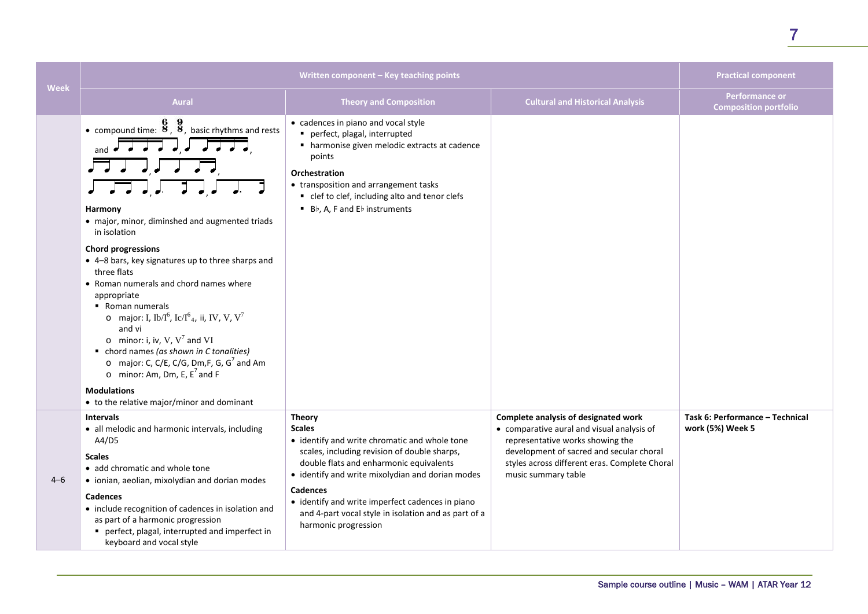| Week    | Written component - Key teaching points                                                                                                                                                                                                                                                                                                                                                                                                                                                                                                                                                                                                                                                                                                                                                                                                                                                                                                                                                                                                                                                                                                                                                                                                                                                                                                                                                                                                                                                                                                                                                                                                                                                                                                                                      |                                                                                                                                                                                                                                                                                                                                                                                | <b>Practical component</b>                                                                                                                                                                                                                 |                                                       |
|---------|------------------------------------------------------------------------------------------------------------------------------------------------------------------------------------------------------------------------------------------------------------------------------------------------------------------------------------------------------------------------------------------------------------------------------------------------------------------------------------------------------------------------------------------------------------------------------------------------------------------------------------------------------------------------------------------------------------------------------------------------------------------------------------------------------------------------------------------------------------------------------------------------------------------------------------------------------------------------------------------------------------------------------------------------------------------------------------------------------------------------------------------------------------------------------------------------------------------------------------------------------------------------------------------------------------------------------------------------------------------------------------------------------------------------------------------------------------------------------------------------------------------------------------------------------------------------------------------------------------------------------------------------------------------------------------------------------------------------------------------------------------------------------|--------------------------------------------------------------------------------------------------------------------------------------------------------------------------------------------------------------------------------------------------------------------------------------------------------------------------------------------------------------------------------|--------------------------------------------------------------------------------------------------------------------------------------------------------------------------------------------------------------------------------------------|-------------------------------------------------------|
|         | <b>Aural</b>                                                                                                                                                                                                                                                                                                                                                                                                                                                                                                                                                                                                                                                                                                                                                                                                                                                                                                                                                                                                                                                                                                                                                                                                                                                                                                                                                                                                                                                                                                                                                                                                                                                                                                                                                                 | <b>Theory and Composition</b>                                                                                                                                                                                                                                                                                                                                                  | <b>Cultural and Historical Analysis</b>                                                                                                                                                                                                    | <b>Performance or</b><br><b>Composition portfolio</b> |
|         | • compound time: $\frac{6}{8}$ , $\frac{9}{8}$ , basic rhythms and rests<br>and $\overrightarrow{a}$ $\overrightarrow{a}$ $\overrightarrow{a}$ $\overrightarrow{a}$ $\overrightarrow{a}$ $\overrightarrow{a}$ $\overrightarrow{a}$ $\overrightarrow{a}$ $\overrightarrow{a}$ $\overrightarrow{a}$ $\overrightarrow{a}$ $\overrightarrow{a}$ $\overrightarrow{a}$ $\overrightarrow{a}$ $\overrightarrow{a}$ $\overrightarrow{a}$ $\overrightarrow{a}$ $\overrightarrow{a}$ $\overrightarrow{a}$ $\overrightarrow{a}$ $\overrightarrow{a}$ $\overrightarrow{a}$ $\overrightarrow{a}$ $\overrightarrow{a}$<br>$\overline{J}$ , $\overline{J}$ , $\overline{J}$ ,<br>$\begin{array}{c} \begin{array}{c} \text{ } \\ \text{ } \\ \text{ } \\ \text{ } \\ \end{array} \end{array} \begin{array}{c} \begin{array}{c} \text{ } \\ \text{ } \\ \text{ } \\ \text{ } \\ \end{array} \begin{array}{c} \begin{array}{c} \text{ } \\ \text{ } \\ \text{ } \\ \end{array} \end{array} \begin{array}{c} \begin{array}{c} \text{ } \\ \text{ } \\ \text{ } \\ \text{ } \\ \end{array} \begin{array}{c} \begin{array}{c} \text{ } \\ \text{ } \\ \text{ } \\ \end{array} \end{array}$<br>Harmony<br>• major, minor, diminshed and augmented triads<br>in isolation<br><b>Chord progressions</b><br>• 4-8 bars, key signatures up to three sharps and<br>three flats<br>• Roman numerals and chord names where<br>appropriate<br>■ Roman numerals<br>o major: I, Ib/I <sup>6</sup> , Ic/I <sup>6</sup> <sub>4</sub> , ii, IV, V, V <sup>7</sup><br>and vi<br>o minor: i, iv, V, $V^7$ and VI<br>• chord names (as shown in C tonalities)<br>o major: C, C/E, C/G, Dm,F, G, $G^7$ and Am<br>o minor: Am, Dm, E, $E^7$ and F<br><b>Modulations</b><br>• to the relative major/minor and dominant | • cadences in piano and vocal style<br>perfect, plagal, interrupted<br>• harmonise given melodic extracts at cadence<br>points<br>Orchestration<br>• transposition and arrangement tasks<br>• clef to clef, including alto and tenor clefs<br>Bb, A, F and Eb instruments                                                                                                      |                                                                                                                                                                                                                                            |                                                       |
| $4 - 6$ | <b>Intervals</b><br>• all melodic and harmonic intervals, including<br>A4/D5<br><b>Scales</b><br>• add chromatic and whole tone<br>• ionian, aeolian, mixolydian and dorian modes<br>Cadences<br>• include recognition of cadences in isolation and<br>as part of a harmonic progression<br>perfect, plagal, interrupted and imperfect in<br>keyboard and vocal style                                                                                                                                                                                                                                                                                                                                                                                                                                                                                                                                                                                                                                                                                                                                                                                                                                                                                                                                                                                                                                                                                                                                                                                                                                                                                                                                                                                                        | <b>Theory</b><br><b>Scales</b><br>• identify and write chromatic and whole tone<br>scales, including revision of double sharps,<br>double flats and enharmonic equivalents<br>• identify and write mixolydian and dorian modes<br>Cadences<br>• identify and write imperfect cadences in piano<br>and 4-part vocal style in isolation and as part of a<br>harmonic progression | Complete analysis of designated work<br>• comparative aural and visual analysis of<br>representative works showing the<br>development of sacred and secular choral<br>styles across different eras. Complete Choral<br>music summary table | Task 6: Performance - Technical<br>work (5%) Week 5   |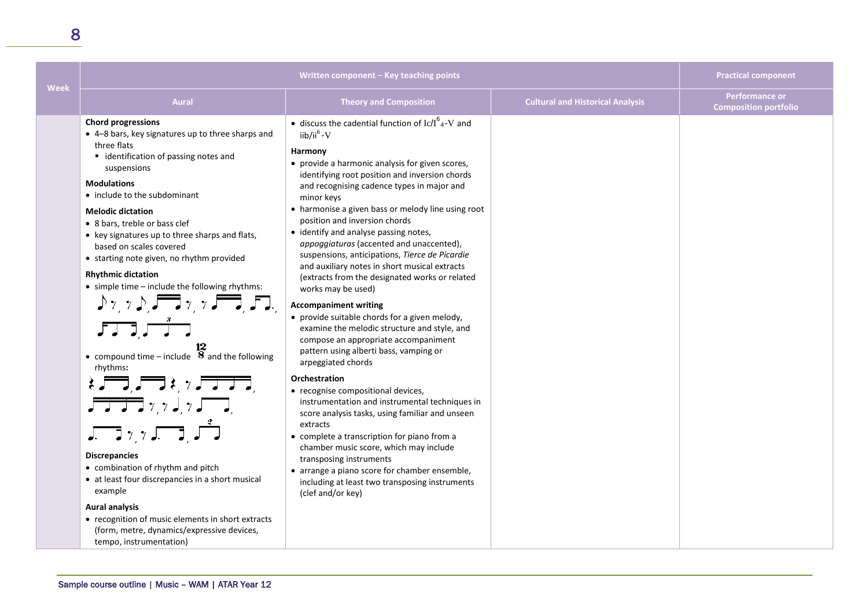| <b>Week</b> | Written component - Key teaching points                                                                                                                                                                                                                                                                                                                                                                                                                                                                                                                                                                                                                                                                                                                                                                                                                                                                                                                                                                                                                                                                                                                                                                                                                                                                                                                                                                                                                                                                                                     |                                                                                                                                                                                                                                                                                                                                                                                                                                                                                                                                                                                                                                                                                                                                                                                                                                                                                                                                                                                                                                                                                                                                                                                                                                                                                                | <b>Practical component</b>              |                                                |
|-------------|---------------------------------------------------------------------------------------------------------------------------------------------------------------------------------------------------------------------------------------------------------------------------------------------------------------------------------------------------------------------------------------------------------------------------------------------------------------------------------------------------------------------------------------------------------------------------------------------------------------------------------------------------------------------------------------------------------------------------------------------------------------------------------------------------------------------------------------------------------------------------------------------------------------------------------------------------------------------------------------------------------------------------------------------------------------------------------------------------------------------------------------------------------------------------------------------------------------------------------------------------------------------------------------------------------------------------------------------------------------------------------------------------------------------------------------------------------------------------------------------------------------------------------------------|------------------------------------------------------------------------------------------------------------------------------------------------------------------------------------------------------------------------------------------------------------------------------------------------------------------------------------------------------------------------------------------------------------------------------------------------------------------------------------------------------------------------------------------------------------------------------------------------------------------------------------------------------------------------------------------------------------------------------------------------------------------------------------------------------------------------------------------------------------------------------------------------------------------------------------------------------------------------------------------------------------------------------------------------------------------------------------------------------------------------------------------------------------------------------------------------------------------------------------------------------------------------------------------------|-----------------------------------------|------------------------------------------------|
|             | <b>Aural</b>                                                                                                                                                                                                                                                                                                                                                                                                                                                                                                                                                                                                                                                                                                                                                                                                                                                                                                                                                                                                                                                                                                                                                                                                                                                                                                                                                                                                                                                                                                                                | <b>Theory and Composition</b>                                                                                                                                                                                                                                                                                                                                                                                                                                                                                                                                                                                                                                                                                                                                                                                                                                                                                                                                                                                                                                                                                                                                                                                                                                                                  | <b>Cultural and Historical Analysis</b> | Performance or<br><b>Composition portfolio</b> |
|             | <b>Chord progressions</b><br>• 4-8 bars, key signatures up to three sharps and<br>three flats<br>■ identification of passing notes and<br>suspensions<br><b>Modulations</b><br>• include to the subdominant<br><b>Melodic dictation</b><br>• 8 bars, treble or bass clef<br>• key signatures up to three sharps and flats,<br>based on scales covered<br>• starting note given, no rhythm provided<br><b>Rhythmic dictation</b><br>• simple time - include the following rhythms:<br>$\mathcal{L}_{\mathcal{I},\mathcal{I}}$ , $\mathcal{L}_{\mathcal{I},\mathcal{I}}$ , $\mathcal{L}_{\mathcal{I},\mathcal{I}}$ , $\mathcal{L}_{\mathcal{I},\mathcal{I}}$<br>$\int \prod_{i=1}^{n} \frac{1}{i} \int \prod_{i=1}^{n} \frac{1}{i} \, dt$<br>• compound time – include $\frac{12}{8}$ and the following<br>rhythms:<br>$k = 1, 1, 2, 3, 7, 7, 7, 8$<br>$\int_{\mathbb{R}^n} \frac{1}{\sqrt{2\pi}} \int_{\mathbb{R}^n} \frac{1}{\sqrt{2\pi}} \int_{\mathbb{R}^n} \frac{1}{\sqrt{2\pi}} \int_{\mathbb{R}^n} \frac{1}{\sqrt{2\pi}} \int_{\mathbb{R}^n} \frac{1}{\sqrt{2\pi}} \int_{\mathbb{R}^n} \frac{1}{\sqrt{2\pi}} \int_{\mathbb{R}^n} \frac{1}{\sqrt{2\pi}} \int_{\mathbb{R}^n} \frac{1}{\sqrt{2\pi}} \int_{\mathbb{R}^n} \frac{1}{\sqrt{2\pi}} \int_{\$<br><b>Discrepancies</b><br>• combination of rhythm and pitch<br>• at least four discrepancies in a short musical<br>example<br><b>Aural analysis</b><br>• recognition of music elements in short extracts<br>(form, metre, dynamics/expressive devices,<br>tempo, instrumentation) | • discuss the cadential function of $\text{Ic}/I_{4}^{6}$ -V and<br>$i$ ib/ii <sup>6</sup> - V<br>Harmony<br>• provide a harmonic analysis for given scores,<br>identifying root position and inversion chords<br>and recognising cadence types in major and<br>minor keys<br>• harmonise a given bass or melody line using root<br>position and inversion chords<br>• identify and analyse passing notes,<br>appoggiaturas (accented and unaccented),<br>suspensions, anticipations, Tierce de Picardie<br>and auxiliary notes in short musical extracts<br>(extracts from the designated works or related<br>works may be used)<br><b>Accompaniment writing</b><br>• provide suitable chords for a given melody,<br>examine the melodic structure and style, and<br>compose an appropriate accompaniment<br>pattern using alberti bass, vamping or<br>arpeggiated chords<br>Orchestration<br>• recognise compositional devices,<br>instrumentation and instrumental techniques in<br>score analysis tasks, using familiar and unseen<br>extracts<br>• complete a transcription for piano from a<br>chamber music score, which may include<br>transposing instruments<br>• arrange a piano score for chamber ensemble,<br>including at least two transposing instruments<br>(clef and/or key) |                                         |                                                |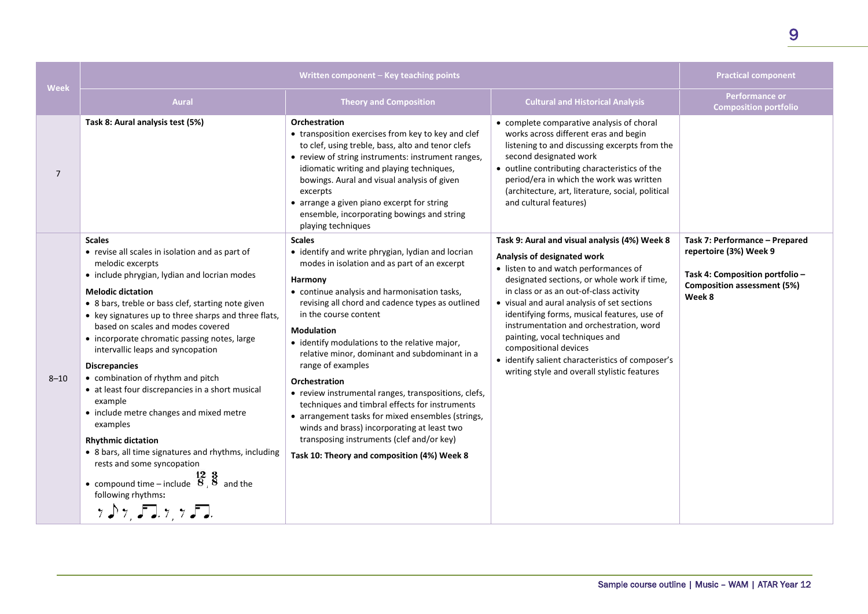| <b>Week</b>    | Written component - Key teaching points                                                                                                                                                                                                                                                                                                                                                                                                                                                                                                                                                                                                                                                                                                                                                                                                                                                                                                                                                                                                                                                                                                                                                                                                           |                                                                                                                                                                                                                                                                                                                                                                                                                                                                                                                                                                                                                                                                                                                                          | <b>Practical component</b>                                                                                                                                                                                                                                                                                                                                                                                                                                                                                              |                                                                                                                                             |
|----------------|---------------------------------------------------------------------------------------------------------------------------------------------------------------------------------------------------------------------------------------------------------------------------------------------------------------------------------------------------------------------------------------------------------------------------------------------------------------------------------------------------------------------------------------------------------------------------------------------------------------------------------------------------------------------------------------------------------------------------------------------------------------------------------------------------------------------------------------------------------------------------------------------------------------------------------------------------------------------------------------------------------------------------------------------------------------------------------------------------------------------------------------------------------------------------------------------------------------------------------------------------|------------------------------------------------------------------------------------------------------------------------------------------------------------------------------------------------------------------------------------------------------------------------------------------------------------------------------------------------------------------------------------------------------------------------------------------------------------------------------------------------------------------------------------------------------------------------------------------------------------------------------------------------------------------------------------------------------------------------------------------|-------------------------------------------------------------------------------------------------------------------------------------------------------------------------------------------------------------------------------------------------------------------------------------------------------------------------------------------------------------------------------------------------------------------------------------------------------------------------------------------------------------------------|---------------------------------------------------------------------------------------------------------------------------------------------|
|                | <b>Aural</b>                                                                                                                                                                                                                                                                                                                                                                                                                                                                                                                                                                                                                                                                                                                                                                                                                                                                                                                                                                                                                                                                                                                                                                                                                                      | <b>Theory and Composition</b>                                                                                                                                                                                                                                                                                                                                                                                                                                                                                                                                                                                                                                                                                                            | <b>Cultural and Historical Analysis</b>                                                                                                                                                                                                                                                                                                                                                                                                                                                                                 | <b>Performance or</b><br><b>Composition portfolio</b>                                                                                       |
| $\overline{7}$ | Task 8: Aural analysis test (5%)                                                                                                                                                                                                                                                                                                                                                                                                                                                                                                                                                                                                                                                                                                                                                                                                                                                                                                                                                                                                                                                                                                                                                                                                                  | <b>Orchestration</b><br>• transposition exercises from key to key and clef<br>to clef, using treble, bass, alto and tenor clefs<br>• review of string instruments: instrument ranges,<br>idiomatic writing and playing techniques,<br>bowings. Aural and visual analysis of given<br>excerpts<br>• arrange a given piano excerpt for string<br>ensemble, incorporating bowings and string<br>playing techniques                                                                                                                                                                                                                                                                                                                          | • complete comparative analysis of choral<br>works across different eras and begin<br>listening to and discussing excerpts from the<br>second designated work<br>• outline contributing characteristics of the<br>period/era in which the work was written<br>(architecture, art, literature, social, political<br>and cultural features)                                                                                                                                                                               |                                                                                                                                             |
| $8 - 10$       | <b>Scales</b><br>• revise all scales in isolation and as part of<br>melodic excerpts<br>• include phrygian, lydian and locrian modes<br><b>Melodic dictation</b><br>• 8 bars, treble or bass clef, starting note given<br>• key signatures up to three sharps and three flats,<br>based on scales and modes covered<br>• incorporate chromatic passing notes, large<br>intervallic leaps and syncopation<br><b>Discrepancies</b><br>• combination of rhythm and pitch<br>• at least four discrepancies in a short musical<br>example<br>• include metre changes and mixed metre<br>examples<br><b>Rhythmic dictation</b><br>• 8 bars, all time signatures and rhythms, including<br>rests and some syncopation<br>• compound time – include $\begin{bmatrix} 12 & 3 \\ 8 & 8 \end{bmatrix}$ and the<br>following rhythms:<br>$\gamma$ $\gamma$ , $\gamma$ , $\gamma$ , $\gamma$ , $\gamma$ , $\gamma$ , $\gamma$ , $\gamma$ , $\gamma$ , $\gamma$ , $\gamma$ , $\gamma$ , $\gamma$ , $\gamma$ , $\gamma$ , $\gamma$ , $\gamma$ , $\gamma$ , $\gamma$ , $\gamma$ , $\gamma$ , $\gamma$ , $\gamma$ , $\gamma$ , $\gamma$ , $\gamma$ , $\gamma$ , $\gamma$ , $\gamma$ , $\gamma$ , $\gamma$ , $\gamma$ , $\gamma$ , $\gamma$ , $\gamma$ , $\gamma$ , | <b>Scales</b><br>• identify and write phrygian, lydian and locrian<br>modes in isolation and as part of an excerpt<br>Harmony<br>• continue analysis and harmonisation tasks,<br>revising all chord and cadence types as outlined<br>in the course content<br><b>Modulation</b><br>• identify modulations to the relative major,<br>relative minor, dominant and subdominant in a<br>range of examples<br><b>Orchestration</b><br>• review instrumental ranges, transpositions, clefs,<br>techniques and timbral effects for instruments<br>• arrangement tasks for mixed ensembles (strings,<br>winds and brass) incorporating at least two<br>transposing instruments (clef and/or key)<br>Task 10: Theory and composition (4%) Week 8 | Task 9: Aural and visual analysis (4%) Week 8<br>Analysis of designated work<br>• listen to and watch performances of<br>designated sections, or whole work if time,<br>in class or as an out-of-class activity<br>• visual and aural analysis of set sections<br>identifying forms, musical features, use of<br>instrumentation and orchestration, word<br>painting, vocal techniques and<br>compositional devices<br>• identify salient characteristics of composer's<br>writing style and overall stylistic features | Task 7: Performance - Prepared<br>repertoire (3%) Week 9<br>Task 4: Composition portfolio -<br><b>Composition assessment (5%)</b><br>Week 8 |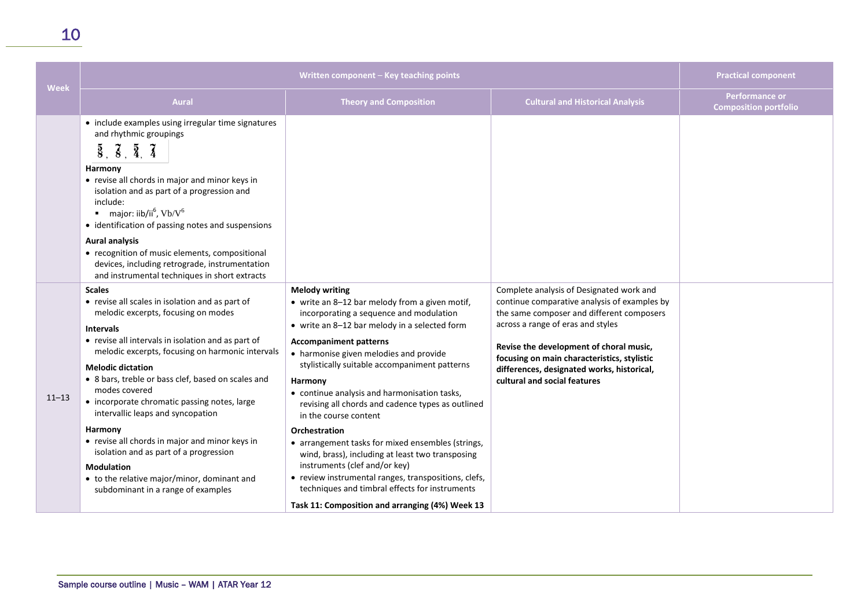| <b>Week</b> | Written component - Key teaching points                                                                                                                                                                                                                                                                                                                                                                                                                                                                                                                                                                                                        |                                                                                                                                                                                                                                                                                                                                                                                                                                                                                                                                                                                                                                                                                                                                                                         | <b>Practical component</b>                                                                                                                                                                                                                                                                                                                         |                                                       |
|-------------|------------------------------------------------------------------------------------------------------------------------------------------------------------------------------------------------------------------------------------------------------------------------------------------------------------------------------------------------------------------------------------------------------------------------------------------------------------------------------------------------------------------------------------------------------------------------------------------------------------------------------------------------|-------------------------------------------------------------------------------------------------------------------------------------------------------------------------------------------------------------------------------------------------------------------------------------------------------------------------------------------------------------------------------------------------------------------------------------------------------------------------------------------------------------------------------------------------------------------------------------------------------------------------------------------------------------------------------------------------------------------------------------------------------------------------|----------------------------------------------------------------------------------------------------------------------------------------------------------------------------------------------------------------------------------------------------------------------------------------------------------------------------------------------------|-------------------------------------------------------|
|             | <b>Aural</b>                                                                                                                                                                                                                                                                                                                                                                                                                                                                                                                                                                                                                                   | <b>Theory and Composition</b>                                                                                                                                                                                                                                                                                                                                                                                                                                                                                                                                                                                                                                                                                                                                           | <b>Cultural and Historical Analysis</b>                                                                                                                                                                                                                                                                                                            | <b>Performance or</b><br><b>Composition portfolio</b> |
|             | • include examples using irregular time signatures<br>and rhythmic groupings<br>$\overline{8}$ , $\overline{8}$ , $\overline{4}$ , $\overline{4}$<br>Harmony<br>• revise all chords in major and minor keys in<br>isolation and as part of a progression and<br>include:<br>major: iib/ii <sup>6</sup> , Vb/V <sup>6</sup><br>• identification of passing notes and suspensions<br><b>Aural analysis</b><br>• recognition of music elements, compositional<br>devices, including retrograde, instrumentation<br>and instrumental techniques in short extracts                                                                                  |                                                                                                                                                                                                                                                                                                                                                                                                                                                                                                                                                                                                                                                                                                                                                                         |                                                                                                                                                                                                                                                                                                                                                    |                                                       |
| $11 - 13$   | <b>Scales</b><br>• revise all scales in isolation and as part of<br>melodic excerpts, focusing on modes<br><b>Intervals</b><br>• revise all intervals in isolation and as part of<br>melodic excerpts, focusing on harmonic intervals<br><b>Melodic dictation</b><br>• 8 bars, treble or bass clef, based on scales and<br>modes covered<br>• incorporate chromatic passing notes, large<br>intervallic leaps and syncopation<br>Harmony<br>• revise all chords in major and minor keys in<br>isolation and as part of a progression<br><b>Modulation</b><br>• to the relative major/minor, dominant and<br>subdominant in a range of examples | <b>Melody writing</b><br>• write an 8-12 bar melody from a given motif,<br>incorporating a sequence and modulation<br>• write an 8-12 bar melody in a selected form<br><b>Accompaniment patterns</b><br>• harmonise given melodies and provide<br>stylistically suitable accompaniment patterns<br>Harmony<br>• continue analysis and harmonisation tasks,<br>revising all chords and cadence types as outlined<br>in the course content<br><b>Orchestration</b><br>• arrangement tasks for mixed ensembles (strings,<br>wind, brass), including at least two transposing<br>instruments (clef and/or key)<br>• review instrumental ranges, transpositions, clefs,<br>techniques and timbral effects for instruments<br>Task 11: Composition and arranging (4%) Week 13 | Complete analysis of Designated work and<br>continue comparative analysis of examples by<br>the same composer and different composers<br>across a range of eras and styles<br>Revise the development of choral music,<br>focusing on main characteristics, stylistic<br>differences, designated works, historical,<br>cultural and social features |                                                       |